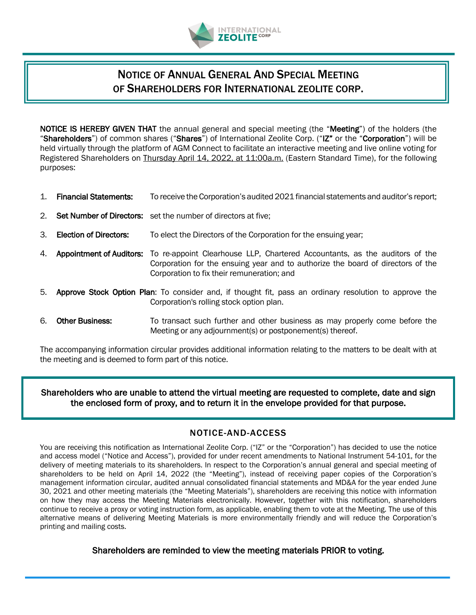

# NOTICE OF ANNUAL GENERAL AND SPECIAL MEETING OF SHAREHOLDERS FOR INTERNATIONAL ZEOLITE CORP.

NOTICE IS HEREBY GIVEN THAT the annual general and special meeting (the "Meeting") of the holders (the "Shareholders") of common shares ("Shares") of International Zeolite Corp. ("IZ" or the "Corporation") will be held virtually through the platform of AGM Connect to facilitate an interactive meeting and live online voting for Registered Shareholders on Thursday April 14, 2022, at 11:00a.m. (Eastern Standard Time), for the following purposes:

- 1. Financial Statements: To receive the Corporation's audited 2021 financial statements and auditor's report;
- 2. Set Number of Directors: set the number of directors at five:
- 3. Election of Directors: To elect the Directors of the Corporation for the ensuing year;
- 4. Appointment of Auditors: To re-appoint Clearhouse LLP, Chartered Accountants, as the auditors of the Corporation for the ensuing year and to authorize the board of directors of the Corporation to fix their remuneration; and
- 5. Approve Stock Option Plan: To consider and, if thought fit, pass an ordinary resolution to approve the Corporation's rolling stock option plan.
- 6. Other Business: To transact such further and other business as may properly come before the Meeting or any adjournment(s) or postponement(s) thereof.

The accompanying information circular provides additional information relating to the matters to be dealt with at the meeting and is deemed to form part of this notice.

Shareholders who are unable to attend the virtual meeting are requested to complete, date and sign the enclosed form of proxy, and to return it in the envelope provided for that purpose.

## NOTICE-AND-ACCESS

You are receiving this notification as International Zeolite Corp. ("IZ" or the "Corporation") has decided to use the notice and access model ("Notice and Access"), provided for under recent amendments to National Instrument 54-101, for the delivery of meeting materials to its shareholders. In respect to the Corporation's annual general and special meeting of shareholders to be held on April 14, 2022 (the "Meeting"), instead of receiving paper copies of the Corporation's management information circular, audited annual consolidated financial statements and MD&A for the year ended June 30, 2021 and other meeting materials (the "Meeting Materials"), shareholders are receiving this notice with information on how they may access the Meeting Materials electronically. However, together with this notification, shareholders continue to receive a proxy or voting instruction form, as applicable, enabling them to vote at the Meeting. The use of this alternative means of delivering Meeting Materials is more environmentally friendly and will reduce the Corporation's printing and mailing costs.

Shareholders are reminded to view the meeting materials PRIOR to voting.